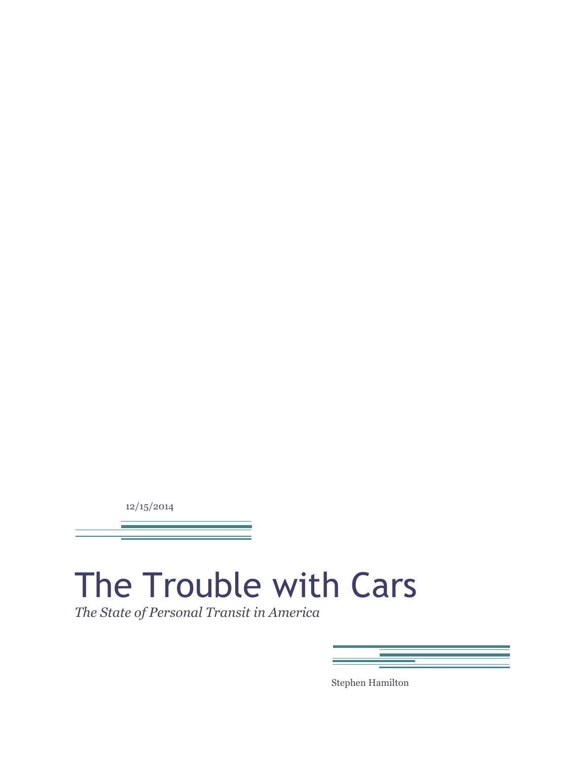12/15/2014

# The Trouble with Cars

*The State of Personal Transit in America*

| <b>Contract Contract Contract</b> |
|-----------------------------------|
|                                   |
|                                   |
|                                   |
|                                   |
|                                   |
|                                   |

Stephen Hamilton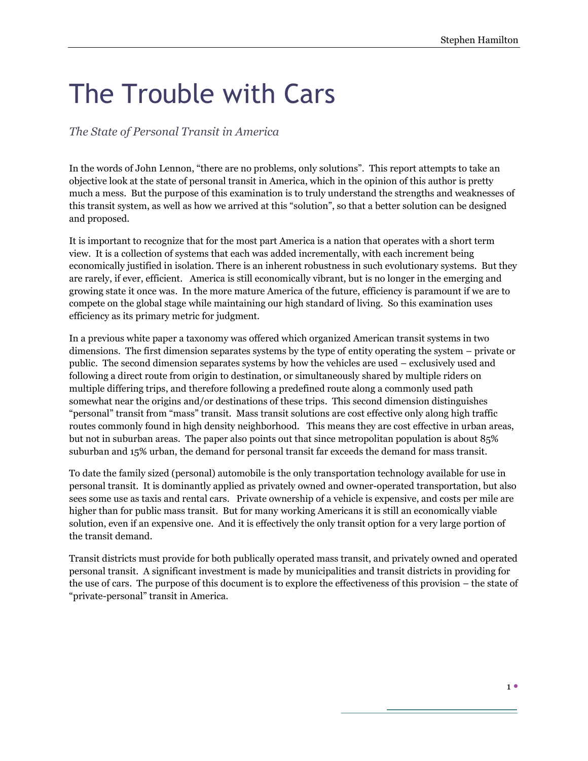## The Trouble with Cars

*The State of Personal Transit in America*

In the words of John Lennon, "there are no problems, only solutions". This report attempts to take an objective look at the state of personal transit in America, which in the opinion of this author is pretty much a mess. But the purpose of this examination is to truly understand the strengths and weaknesses of this transit system, as well as how we arrived at this "solution", so that a better solution can be designed and proposed.

It is important to recognize that for the most part America is a nation that operates with a short term view. It is a collection of systems that each was added incrementally, with each increment being economically justified in isolation. There is an inherent robustness in such evolutionary systems. But they are rarely, if ever, efficient. America is still economically vibrant, but is no longer in the emerging and growing state it once was. In the more mature America of the future, efficiency is paramount if we are to compete on the global stage while maintaining our high standard of living. So this examination uses efficiency as its primary metric for judgment.

In a previous white paper a taxonomy was offered which organized American transit systems in two dimensions. The first dimension separates systems by the type of entity operating the system – private or public. The second dimension separates systems by how the vehicles are used – exclusively used and following a direct route from origin to destination, or simultaneously shared by multiple riders on multiple differing trips, and therefore following a predefined route along a commonly used path somewhat near the origins and/or destinations of these trips. This second dimension distinguishes "personal" transit from "mass" transit. Mass transit solutions are cost effective only along high traffic routes commonly found in high density neighborhood. This means they are cost effective in urban areas, but not in suburban areas. The paper also points out that since metropolitan population is about 85% suburban and 15% urban, the demand for personal transit far exceeds the demand for mass transit.

To date the family sized (personal) automobile is the only transportation technology available for use in personal transit. It is dominantly applied as privately owned and owner-operated transportation, but also sees some use as taxis and rental cars. Private ownership of a vehicle is expensive, and costs per mile are higher than for public mass transit. But for many working Americans it is still an economically viable solution, even if an expensive one. And it is effectively the only transit option for a very large portion of the transit demand.

Transit districts must provide for both publically operated mass transit, and privately owned and operated personal transit. A significant investment is made by municipalities and transit districts in providing for the use of cars. The purpose of this document is to explore the effectiveness of this provision – the state of "private-personal" transit in America.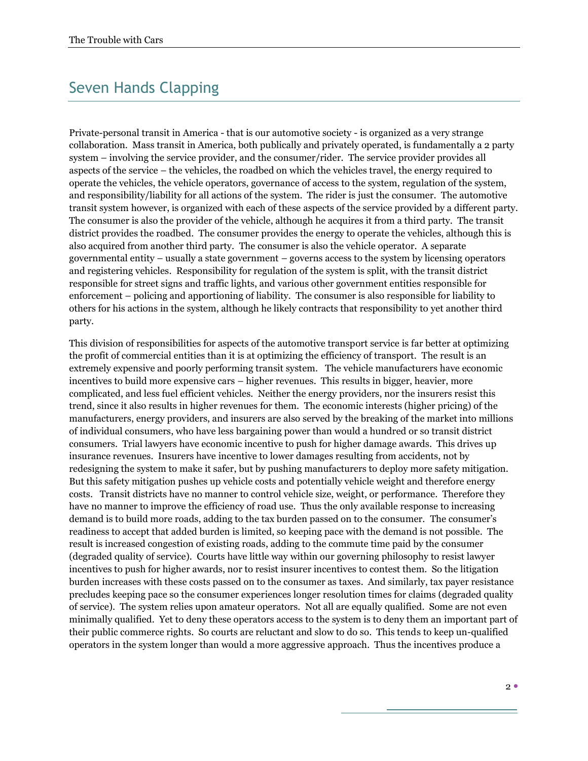## Seven Hands Clapping

Private-personal transit in America - that is our automotive society - is organized as a very strange collaboration. Mass transit in America, both publically and privately operated, is fundamentally a 2 party system – involving the service provider, and the consumer/rider. The service provider provides all aspects of the service – the vehicles, the roadbed on which the vehicles travel, the energy required to operate the vehicles, the vehicle operators, governance of access to the system, regulation of the system, and responsibility/liability for all actions of the system. The rider is just the consumer. The automotive transit system however, is organized with each of these aspects of the service provided by a different party. The consumer is also the provider of the vehicle, although he acquires it from a third party. The transit district provides the roadbed. The consumer provides the energy to operate the vehicles, although this is also acquired from another third party. The consumer is also the vehicle operator. A separate governmental entity – usually a state government – governs access to the system by licensing operators and registering vehicles. Responsibility for regulation of the system is split, with the transit district responsible for street signs and traffic lights, and various other government entities responsible for enforcement – policing and apportioning of liability. The consumer is also responsible for liability to others for his actions in the system, although he likely contracts that responsibility to yet another third party.

This division of responsibilities for aspects of the automotive transport service is far better at optimizing the profit of commercial entities than it is at optimizing the efficiency of transport. The result is an extremely expensive and poorly performing transit system. The vehicle manufacturers have economic incentives to build more expensive cars – higher revenues. This results in bigger, heavier, more complicated, and less fuel efficient vehicles. Neither the energy providers, nor the insurers resist this trend, since it also results in higher revenues for them. The economic interests (higher pricing) of the manufacturers, energy providers, and insurers are also served by the breaking of the market into millions of individual consumers, who have less bargaining power than would a hundred or so transit district consumers. Trial lawyers have economic incentive to push for higher damage awards. This drives up insurance revenues. Insurers have incentive to lower damages resulting from accidents, not by redesigning the system to make it safer, but by pushing manufacturers to deploy more safety mitigation. But this safety mitigation pushes up vehicle costs and potentially vehicle weight and therefore energy costs. Transit districts have no manner to control vehicle size, weight, or performance. Therefore they have no manner to improve the efficiency of road use. Thus the only available response to increasing demand is to build more roads, adding to the tax burden passed on to the consumer. The consumer's readiness to accept that added burden is limited, so keeping pace with the demand is not possible. The result is increased congestion of existing roads, adding to the commute time paid by the consumer (degraded quality of service). Courts have little way within our governing philosophy to resist lawyer incentives to push for higher awards, nor to resist insurer incentives to contest them. So the litigation burden increases with these costs passed on to the consumer as taxes. And similarly, tax payer resistance precludes keeping pace so the consumer experiences longer resolution times for claims (degraded quality of service). The system relies upon amateur operators. Not all are equally qualified. Some are not even minimally qualified. Yet to deny these operators access to the system is to deny them an important part of their public commerce rights. So courts are reluctant and slow to do so. This tends to keep un-qualified operators in the system longer than would a more aggressive approach. Thus the incentives produce a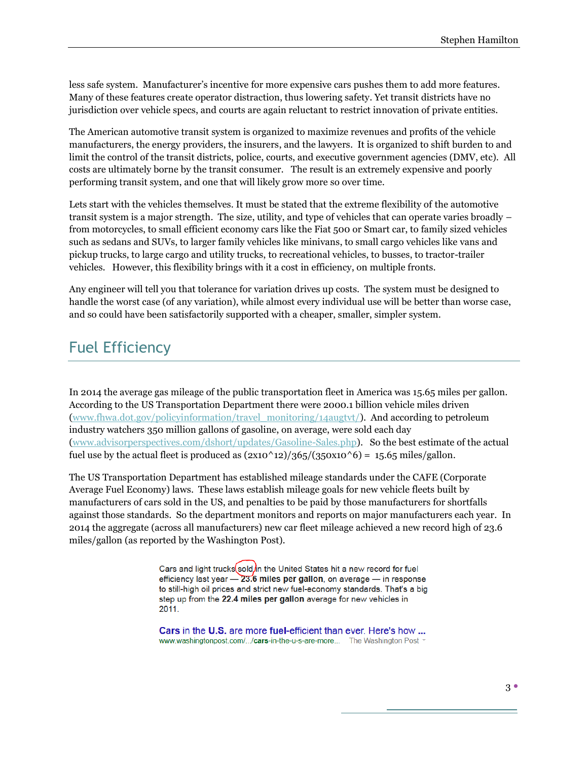less safe system. Manufacturer's incentive for more expensive cars pushes them to add more features. Many of these features create operator distraction, thus lowering safety. Yet transit districts have no jurisdiction over vehicle specs, and courts are again reluctant to restrict innovation of private entities.

The American automotive transit system is organized to maximize revenues and profits of the vehicle manufacturers, the energy providers, the insurers, and the lawyers. It is organized to shift burden to and limit the control of the transit districts, police, courts, and executive government agencies (DMV, etc). All costs are ultimately borne by the transit consumer. The result is an extremely expensive and poorly performing transit system, and one that will likely grow more so over time.

Lets start with the vehicles themselves. It must be stated that the extreme flexibility of the automotive transit system is a major strength. The size, utility, and type of vehicles that can operate varies broadly – from motorcycles, to small efficient economy cars like the Fiat 500 or Smart car, to family sized vehicles such as sedans and SUVs, to larger family vehicles like minivans, to small cargo vehicles like vans and pickup trucks, to large cargo and utility trucks, to recreational vehicles, to busses, to tractor-trailer vehicles. However, this flexibility brings with it a cost in efficiency, on multiple fronts.

Any engineer will tell you that tolerance for variation drives up costs. The system must be designed to handle the worst case (of any variation), while almost every individual use will be better than worse case, and so could have been satisfactorily supported with a cheaper, smaller, simpler system.

## Fuel Efficiency

In 2014 the average gas mileage of the public transportation fleet in America was 15.65 miles per gallon. According to the US Transportation Department there were 2000.1 billion vehicle miles driven [\(www.fhwa.dot.gov/policyinformation/travel\\_monitoring/14augtvt/\)](http://www.fhwa.dot.gov/policyinformation/travel_monitoring/14augtvt/). And according to petroleum industry watchers 350 million gallons of gasoline, on average, were sold each day [\(www.advisorperspectives.com/dshort/updates/Gasoline-Sales.php\)](http://www.advisorperspectives.com/dshort/updates/Gasoline-Sales.php). So the best estimate of the actual fuel use by the actual fleet is produced as  $(2x10^2/365/(350x10^6)) = 15.65$  miles/gallon.

The US Transportation Department has established mileage standards under the CAFE (Corporate Average Fuel Economy) laws. These laws establish mileage goals for new vehicle fleets built by manufacturers of cars sold in the US, and penalties to be paid by those manufacturers for shortfalls against those standards. So the department monitors and reports on major manufacturers each year. In 2014 the aggregate (across all manufacturers) new car fleet mileage achieved a new record high of 23.6 miles/gallon (as reported by the Washington Post).

> Cars and light trucks sold in the United States hit a new record for fuel efficiency last year  $-23.6$  miles per gallon, on average  $-$  in response to still-high oil prices and strict new fuel-economy standards. That's a big step up from the 22.4 miles per gallon average for new vehicles in 2011.

> **Cars in the U.S. are more fuel-efficient than ever. Here's how ...** www.washingtonpost.com/.../cars-in-the-u-s-are-more... The Washington Post -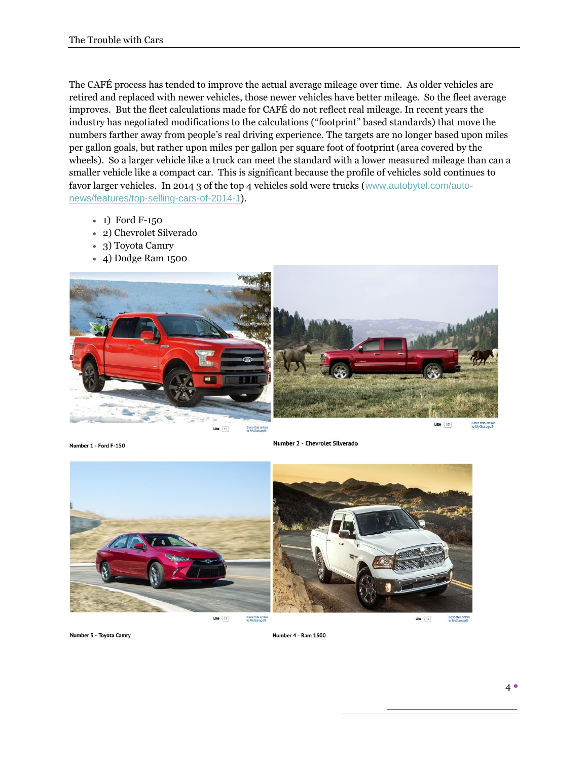The CAFÉ process has tended to improve the actual average mileage over time. As older vehicles are retired and replaced with newer vehicles, those newer vehicles have better mileage. So the fleet average improves. But the fleet calculations made for CAFÉ do not reflect real mileage. In recent years the industry has negotiated modifications to the calculations ("footprint" based standards) that move the numbers farther away from people's real driving experience. The targets are no longer based upon miles per gallon goals, but rather upon miles per gallon per square foot of footprint (area covered by the wheels). So a larger vehicle like a truck can meet the standard with a lower measured mileage than can a smaller vehicle like a compact car. This is significant because the profile of vehicles sold continues to favor larger vehicles. In 2014 3 of the top 4 vehicles sold were trucks ([www.autobytel.com/auto](http://www.autobytel.com/auto-news/features/top-selling-cars-of-2014-1)[news/features/top-selling-cars-of-2014-1\)](http://www.autobytel.com/auto-news/features/top-selling-cars-of-2014-1).

- 1) Ford F-150
- 2) Chevrolet Silverado
- 3) Toyota Camry
- 4) Dodge Ram 1500



Number 1 - Ford F-150

Number 2 - Chevrolet Silverado



Save this article<br>to MyGarage®

 $L$ ike  $\overline{12}$ Save this article<br>to MuGarane@

Number 3 - Toyota Camry

Number 4 - Ram 1500

Save this artic<br>to MyGarage®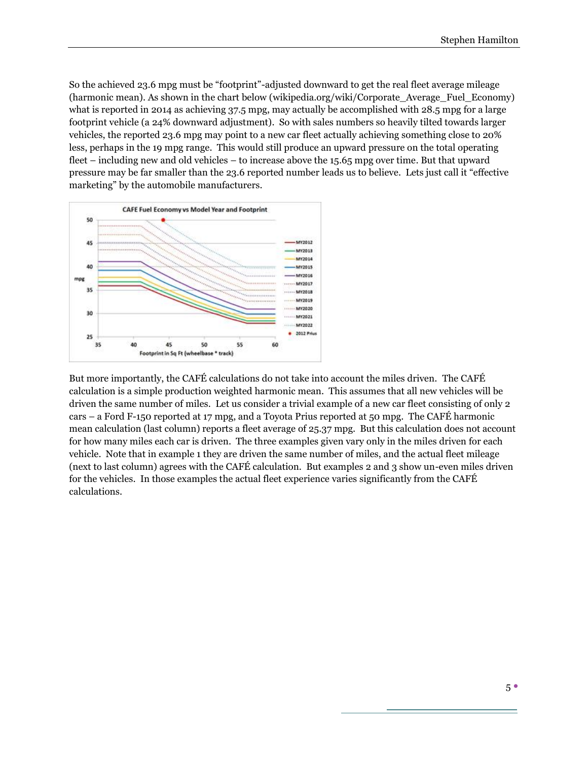So the achieved 23.6 mpg must be "footprint"-adjusted downward to get the real fleet average mileage (harmonic mean). As shown in the chart below (wikipedia.org/wiki/Corporate\_Average\_Fuel\_Economy) what is reported in 2014 as achieving 37.5 mpg, may actually be accomplished with 28.5 mpg for a large footprint vehicle (a 24% downward adjustment). So with sales numbers so heavily tilted towards larger vehicles, the reported 23.6 mpg may point to a new car fleet actually achieving something close to 20% less, perhaps in the 19 mpg range. This would still produce an upward pressure on the total operating fleet – including new and old vehicles – to increase above the 15.65 mpg over time. But that upward pressure may be far smaller than the 23.6 reported number leads us to believe. Lets just call it "effective marketing" by the automobile manufacturers.



But more importantly, the CAFÉ calculations do not take into account the miles driven. The CAFÉ calculation is a simple production weighted harmonic mean. This assumes that all new vehicles will be driven the same number of miles. Let us consider a trivial example of a new car fleet consisting of only 2 cars – a Ford F-150 reported at 17 mpg, and a Toyota Prius reported at 50 mpg. The CAFÉ harmonic mean calculation (last column) reports a fleet average of 25.37 mpg. But this calculation does not account for how many miles each car is driven. The three examples given vary only in the miles driven for each vehicle. Note that in example 1 they are driven the same number of miles, and the actual fleet mileage (next to last column) agrees with the CAFÉ calculation. But examples 2 and 3 show un-even miles driven for the vehicles. In those examples the actual fleet experience varies significantly from the CAFÉ calculations.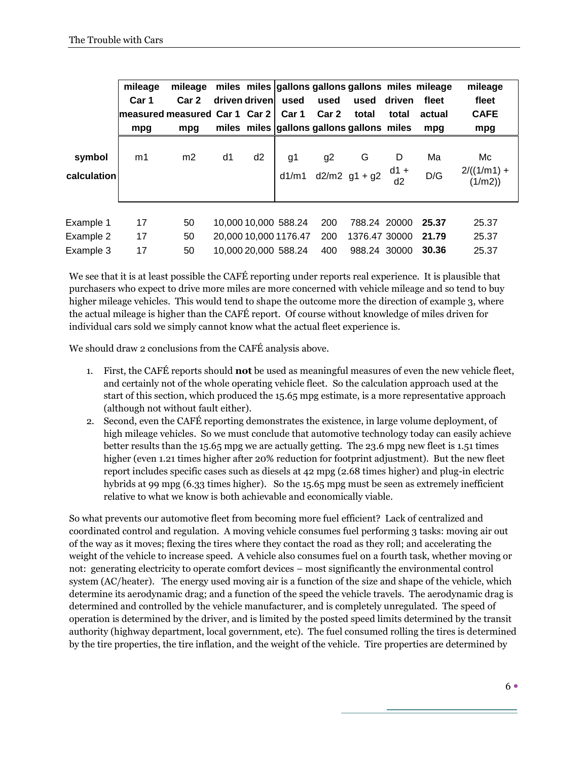|                                     | mileage<br>Car 1<br>measured measured Car 1 Car 2 I<br>mpg | mileage<br>Car 2<br>mpg |    | driven driven  | used<br>Car 1                                                         | used<br>Car <sub>2</sub> | miles miles gallons gallons gallons miles mileage<br>used<br>total<br>miles miles gallons gallons gallons miles | driven<br>total   | fleet<br>actual<br>mpg  | mileage<br>fleet<br><b>CAFE</b><br>mpg |
|-------------------------------------|------------------------------------------------------------|-------------------------|----|----------------|-----------------------------------------------------------------------|--------------------------|-----------------------------------------------------------------------------------------------------------------|-------------------|-------------------------|----------------------------------------|
| symbol<br>calculation               | m1                                                         | m <sub>2</sub>          | d1 | d <sub>2</sub> | g1<br>d1/m1                                                           | g <sub>2</sub>           | G<br>$d2/m2$ g1 + g2                                                                                            | D<br>$d1 +$<br>d2 | Ma<br>D/G               | Mc<br>$2/((1/m1) +$<br>(1/m2)          |
| Example 1<br>Example 2<br>Example 3 | 17<br>17<br>17                                             | 50<br>50<br>50          |    |                | 10,000 10,000 588.24<br>20,000 10,000 1176.47<br>10,000 20,000 588.24 | 200<br>200<br>400        | 788.24 20000<br>1376.47 30000<br>988.24 30000                                                                   |                   | 25.37<br>21.79<br>30.36 | 25.37<br>25.37<br>25.37                |

We see that it is at least possible the CAFÉ reporting under reports real experience. It is plausible that purchasers who expect to drive more miles are more concerned with vehicle mileage and so tend to buy higher mileage vehicles. This would tend to shape the outcome more the direction of example 3, where the actual mileage is higher than the CAFÉ report. Of course without knowledge of miles driven for individual cars sold we simply cannot know what the actual fleet experience is.

We should draw 2 conclusions from the CAFÉ analysis above.

- 1. First, the CAFÉ reports should **not** be used as meaningful measures of even the new vehicle fleet, and certainly not of the whole operating vehicle fleet. So the calculation approach used at the start of this section, which produced the 15.65 mpg estimate, is a more representative approach (although not without fault either).
- 2. Second, even the CAFÉ reporting demonstrates the existence, in large volume deployment, of high mileage vehicles. So we must conclude that automotive technology today can easily achieve better results than the 15.65 mpg we are actually getting. The 23.6 mpg new fleet is 1.51 times higher (even 1.21 times higher after 20% reduction for footprint adjustment). But the new fleet report includes specific cases such as diesels at 42 mpg (2.68 times higher) and plug-in electric hybrids at 99 mpg (6.33 times higher). So the 15.65 mpg must be seen as extremely inefficient relative to what we know is both achievable and economically viable.

So what prevents our automotive fleet from becoming more fuel efficient? Lack of centralized and coordinated control and regulation. A moving vehicle consumes fuel performing 3 tasks: moving air out of the way as it moves; flexing the tires where they contact the road as they roll; and accelerating the weight of the vehicle to increase speed. A vehicle also consumes fuel on a fourth task, whether moving or not: generating electricity to operate comfort devices – most significantly the environmental control system (AC/heater). The energy used moving air is a function of the size and shape of the vehicle, which determine its aerodynamic drag; and a function of the speed the vehicle travels. The aerodynamic drag is determined and controlled by the vehicle manufacturer, and is completely unregulated. The speed of operation is determined by the driver, and is limited by the posted speed limits determined by the transit authority (highway department, local government, etc). The fuel consumed rolling the tires is determined by the tire properties, the tire inflation, and the weight of the vehicle. Tire properties are determined by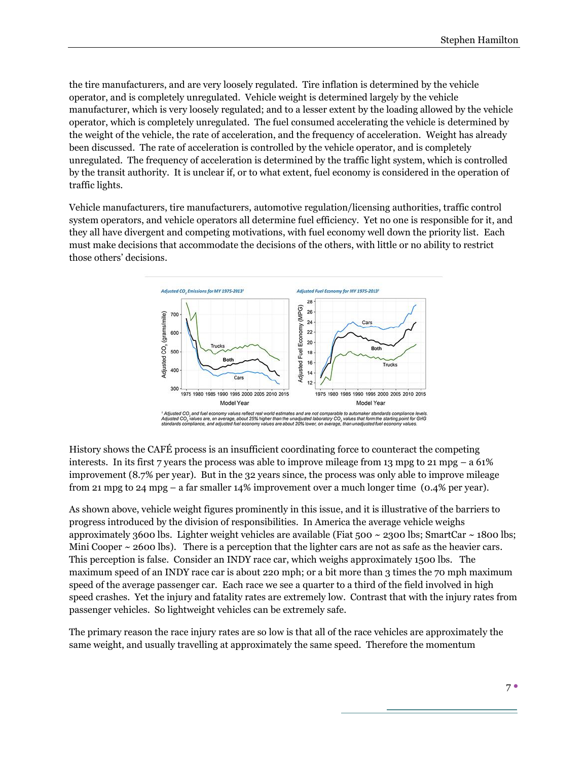the tire manufacturers, and are very loosely regulated. Tire inflation is determined by the vehicle operator, and is completely unregulated. Vehicle weight is determined largely by the vehicle manufacturer, which is very loosely regulated; and to a lesser extent by the loading allowed by the vehicle operator, which is completely unregulated. The fuel consumed accelerating the vehicle is determined by the weight of the vehicle, the rate of acceleration, and the frequency of acceleration. Weight has already been discussed. The rate of acceleration is controlled by the vehicle operator, and is completely unregulated. The frequency of acceleration is determined by the traffic light system, which is controlled by the transit authority. It is unclear if, or to what extent, fuel economy is considered in the operation of traffic lights.

Vehicle manufacturers, tire manufacturers, automotive regulation/licensing authorities, traffic control system operators, and vehicle operators all determine fuel efficiency. Yet no one is responsible for it, and they all have divergent and competing motivations, with fuel economy well down the priority list. Each must make decisions that accommodate the decisions of the others, with little or no ability to restrict those others' decisions.



History shows the CAFÉ process is an insufficient coordinating force to counteract the competing interests. In its first 7 years the process was able to improve mileage from 13 mpg to 21 mpg – a  $61\%$ improvement (8.7% per year). But in the 32 years since, the process was only able to improve mileage from 21 mpg to 24 mpg – a far smaller 14% improvement over a much longer time (0.4% per year).

As shown above, vehicle weight figures prominently in this issue, and it is illustrative of the barriers to progress introduced by the division of responsibilities. In America the average vehicle weighs approximately 3600 lbs. Lighter weight vehicles are available (Fiat  $500 \sim 2300$  lbs; SmartCar  $\sim 1800$  lbs; Mini Cooper  $\sim$  2600 lbs). There is a perception that the lighter cars are not as safe as the heavier cars. This perception is false. Consider an INDY race car, which weighs approximately 1500 lbs. The maximum speed of an INDY race car is about 220 mph; or a bit more than 3 times the 70 mph maximum speed of the average passenger car. Each race we see a quarter to a third of the field involved in high speed crashes. Yet the injury and fatality rates are extremely low. Contrast that with the injury rates from passenger vehicles. So lightweight vehicles can be extremely safe.

The primary reason the race injury rates are so low is that all of the race vehicles are approximately the same weight, and usually travelling at approximately the same speed. Therefore the momentum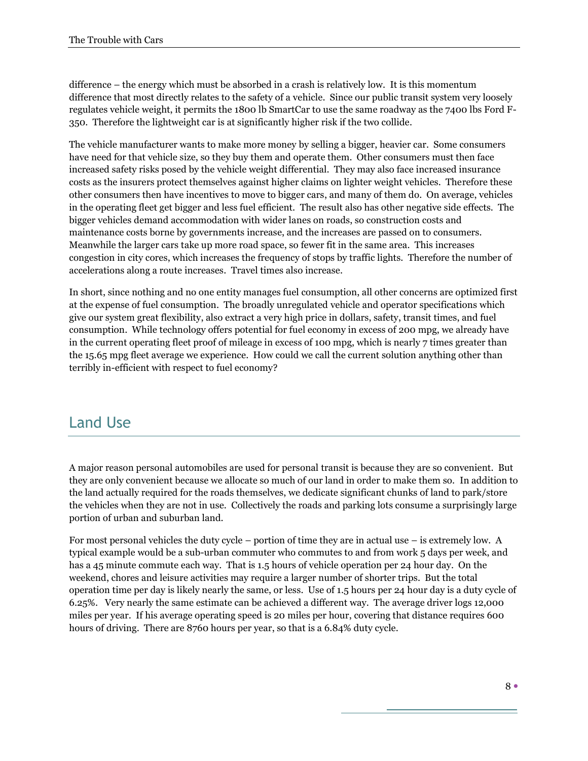difference – the energy which must be absorbed in a crash is relatively low. It is this momentum difference that most directly relates to the safety of a vehicle. Since our public transit system very loosely regulates vehicle weight, it permits the 1800 lb SmartCar to use the same roadway as the 7400 lbs Ford F-350. Therefore the lightweight car is at significantly higher risk if the two collide.

The vehicle manufacturer wants to make more money by selling a bigger, heavier car. Some consumers have need for that vehicle size, so they buy them and operate them. Other consumers must then face increased safety risks posed by the vehicle weight differential. They may also face increased insurance costs as the insurers protect themselves against higher claims on lighter weight vehicles. Therefore these other consumers then have incentives to move to bigger cars, and many of them do. On average, vehicles in the operating fleet get bigger and less fuel efficient. The result also has other negative side effects. The bigger vehicles demand accommodation with wider lanes on roads, so construction costs and maintenance costs borne by governments increase, and the increases are passed on to consumers. Meanwhile the larger cars take up more road space, so fewer fit in the same area. This increases congestion in city cores, which increases the frequency of stops by traffic lights. Therefore the number of accelerations along a route increases. Travel times also increase.

In short, since nothing and no one entity manages fuel consumption, all other concerns are optimized first at the expense of fuel consumption. The broadly unregulated vehicle and operator specifications which give our system great flexibility, also extract a very high price in dollars, safety, transit times, and fuel consumption. While technology offers potential for fuel economy in excess of 200 mpg, we already have in the current operating fleet proof of mileage in excess of 100 mpg, which is nearly 7 times greater than the 15.65 mpg fleet average we experience. How could we call the current solution anything other than terribly in-efficient with respect to fuel economy?

#### Land Use

A major reason personal automobiles are used for personal transit is because they are so convenient. But they are only convenient because we allocate so much of our land in order to make them so. In addition to the land actually required for the roads themselves, we dedicate significant chunks of land to park/store the vehicles when they are not in use. Collectively the roads and parking lots consume a surprisingly large portion of urban and suburban land.

For most personal vehicles the duty cycle – portion of time they are in actual use – is extremely low. A typical example would be a sub-urban commuter who commutes to and from work 5 days per week, and has a 45 minute commute each way. That is 1.5 hours of vehicle operation per 24 hour day. On the weekend, chores and leisure activities may require a larger number of shorter trips. But the total operation time per day is likely nearly the same, or less. Use of 1.5 hours per 24 hour day is a duty cycle of 6.25%. Very nearly the same estimate can be achieved a different way. The average driver logs 12,000 miles per year. If his average operating speed is 20 miles per hour, covering that distance requires 600 hours of driving. There are 8760 hours per year, so that is a 6.84% duty cycle.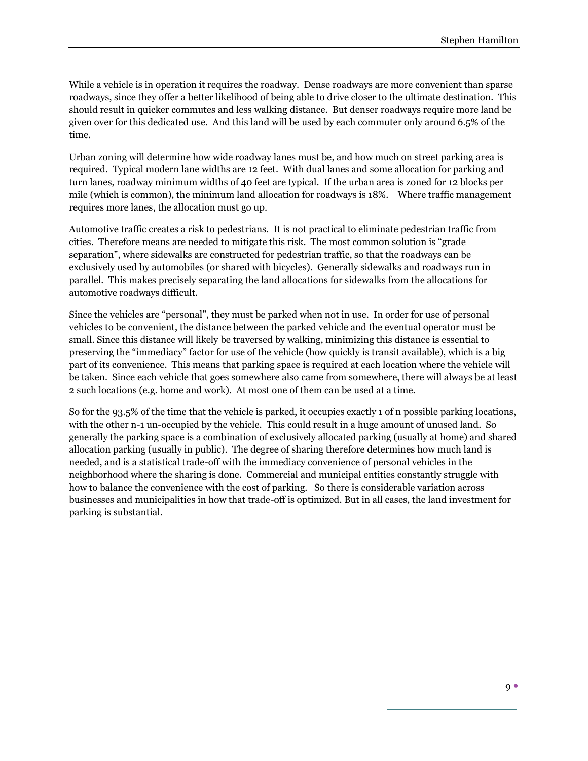While a vehicle is in operation it requires the roadway. Dense roadways are more convenient than sparse roadways, since they offer a better likelihood of being able to drive closer to the ultimate destination. This should result in quicker commutes and less walking distance. But denser roadways require more land be given over for this dedicated use. And this land will be used by each commuter only around 6.5% of the time.

Urban zoning will determine how wide roadway lanes must be, and how much on street parking area is required. Typical modern lane widths are 12 feet. With dual lanes and some allocation for parking and turn lanes, roadway minimum widths of 40 feet are typical. If the urban area is zoned for 12 blocks per mile (which is common), the minimum land allocation for roadways is 18%. Where traffic management requires more lanes, the allocation must go up.

Automotive traffic creates a risk to pedestrians. It is not practical to eliminate pedestrian traffic from cities. Therefore means are needed to mitigate this risk. The most common solution is "grade separation", where sidewalks are constructed for pedestrian traffic, so that the roadways can be exclusively used by automobiles (or shared with bicycles). Generally sidewalks and roadways run in parallel. This makes precisely separating the land allocations for sidewalks from the allocations for automotive roadways difficult.

Since the vehicles are "personal", they must be parked when not in use. In order for use of personal vehicles to be convenient, the distance between the parked vehicle and the eventual operator must be small. Since this distance will likely be traversed by walking, minimizing this distance is essential to preserving the "immediacy" factor for use of the vehicle (how quickly is transit available), which is a big part of its convenience. This means that parking space is required at each location where the vehicle will be taken. Since each vehicle that goes somewhere also came from somewhere, there will always be at least 2 such locations (e.g. home and work). At most one of them can be used at a time.

So for the 93.5% of the time that the vehicle is parked, it occupies exactly 1 of n possible parking locations, with the other n-1 un-occupied by the vehicle. This could result in a huge amount of unused land. So generally the parking space is a combination of exclusively allocated parking (usually at home) and shared allocation parking (usually in public). The degree of sharing therefore determines how much land is needed, and is a statistical trade-off with the immediacy convenience of personal vehicles in the neighborhood where the sharing is done. Commercial and municipal entities constantly struggle with how to balance the convenience with the cost of parking. So there is considerable variation across businesses and municipalities in how that trade-off is optimized. But in all cases, the land investment for parking is substantial.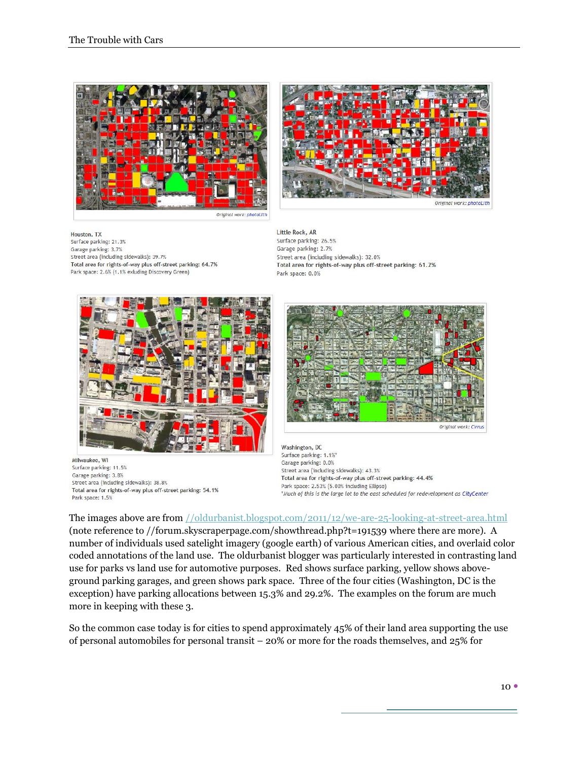



Houston, TX Surface parking: 21.3% Garage parking: 3.7% Street area (including sidewalks): 39.7% Total area for rights-of-way plus off-street parking: 64.7% Park space: 2.6% (1.1% exluding Discovery Green)

Little Rock, AR Surface parking: 26.5% Garage parking: 2.7% Street area (including sidewalks): 32.0% Total area for rights-of-way plus off-street parking: 61.2% Park space: 0.0%



Milwaukee, WI Surface parking: 11.5% Garage parking: 3.8% Street area (including sidewalks): 38.8% Total area for rights-of-way plus off-street parking: 54.1% Park space: 1.5%



Washington, DC Surface parking: 1.1%\* Garage parking: 0.0% Street area (including sidewalks): 43.3% Total area for rights-of-way plus off-street parking: 44.4% Park space: 2.53% (5.00% including Ellipse) \*Much of this is the large lot to the east scheduled for redevelopment as CityCenter

The images above are from [//oldurbanist.blogspot.com/2011/12/we-are-25-looking-at-street-area.html](http://oldurbanist.blogspot.com/2011/12/we-are-25-looking-at-street-area.html) (note reference to //forum.skyscraperpage.com/showthread.php?t=191539 where there are more). A number of individuals used satelight imagery (google earth) of various American cities, and overlaid color coded annotations of the land use. The oldurbanist blogger was particularly interested in contrasting land use for parks vs land use for automotive purposes. Red shows surface parking, yellow shows aboveground parking garages, and green shows park space. Three of the four cities (Washington, DC is the exception) have parking allocations between 15.3% and 29.2%. The examples on the forum are much more in keeping with these 3.

So the common case today is for cities to spend approximately 45% of their land area supporting the use of personal automobiles for personal transit – 20% or more for the roads themselves, and 25% for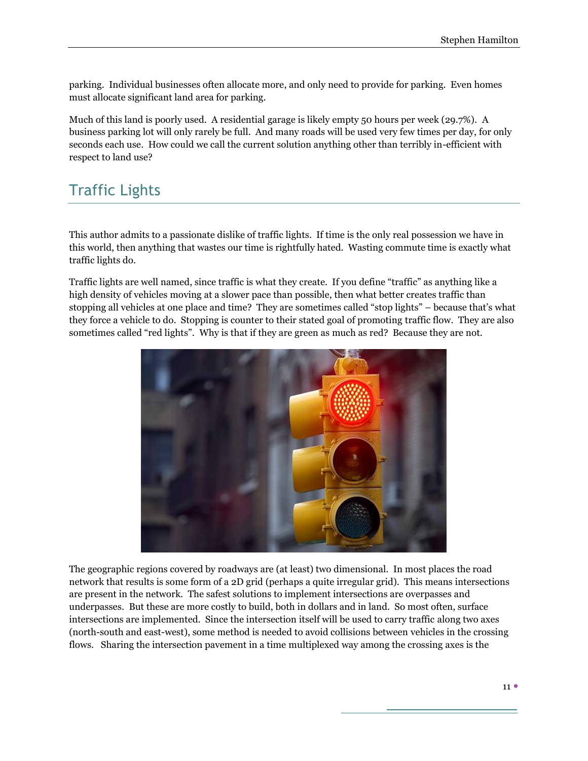parking. Individual businesses often allocate more, and only need to provide for parking. Even homes must allocate significant land area for parking.

Much of this land is poorly used. A residential garage is likely empty 50 hours per week (29.7%). A business parking lot will only rarely be full. And many roads will be used very few times per day, for only seconds each use. How could we call the current solution anything other than terribly in-efficient with respect to land use?

## Traffic Lights

This author admits to a passionate dislike of traffic lights. If time is the only real possession we have in this world, then anything that wastes our time is rightfully hated. Wasting commute time is exactly what traffic lights do.

Traffic lights are well named, since traffic is what they create. If you define "traffic" as anything like a high density of vehicles moving at a slower pace than possible, then what better creates traffic than stopping all vehicles at one place and time? They are sometimes called "stop lights" – because that's what they force a vehicle to do. Stopping is counter to their stated goal of promoting traffic flow. They are also sometimes called "red lights". Why is that if they are green as much as red? Because they are not.



The geographic regions covered by roadways are (at least) two dimensional. In most places the road network that results is some form of a 2D grid (perhaps a quite irregular grid). This means intersections are present in the network. The safest solutions to implement intersections are overpasses and underpasses. But these are more costly to build, both in dollars and in land. So most often, surface intersections are implemented. Since the intersection itself will be used to carry traffic along two axes (north-south and east-west), some method is needed to avoid collisions between vehicles in the crossing flows. Sharing the intersection pavement in a time multiplexed way among the crossing axes is the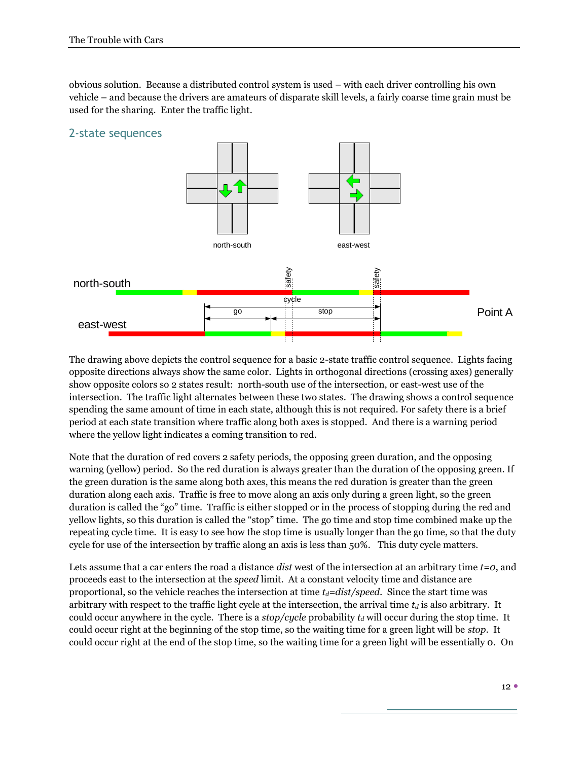obvious solution. Because a distributed control system is used – with each driver controlling his own vehicle – and because the drivers are amateurs of disparate skill levels, a fairly coarse time grain must be used for the sharing. Enter the traffic light.



The drawing above depicts the control sequence for a basic 2-state traffic control sequence. Lights facing opposite directions always show the same color. Lights in orthogonal directions (crossing axes) generally show opposite colors so 2 states result: north-south use of the intersection, or east-west use of the intersection. The traffic light alternates between these two states. The drawing shows a control sequence spending the same amount of time in each state, although this is not required. For safety there is a brief period at each state transition where traffic along both axes is stopped. And there is a warning period where the yellow light indicates a coming transition to red.

Note that the duration of red covers 2 safety periods, the opposing green duration, and the opposing warning (yellow) period. So the red duration is always greater than the duration of the opposing green. If the green duration is the same along both axes, this means the red duration is greater than the green duration along each axis. Traffic is free to move along an axis only during a green light, so the green duration is called the "go" time. Traffic is either stopped or in the process of stopping during the red and yellow lights, so this duration is called the "stop" time. The go time and stop time combined make up the repeating cycle time. It is easy to see how the stop time is usually longer than the go time, so that the duty cycle for use of the intersection by traffic along an axis is less than 50%. This duty cycle matters.

Lets assume that a car enters the road a distance *dist* west of the intersection at an arbitrary time *t=0*, and proceeds east to the intersection at the *speed* limit. At a constant velocity time and distance are proportional, so the vehicle reaches the intersection at time  $t_d = dist/speed$ . Since the start time was arbitrary with respect to the traffic light cycle at the intersection, the arrival time *t<sup>d</sup>* is also arbitrary. It could occur anywhere in the cycle. There is a *stop/cycle* probability  $t_d$  will occur during the stop time. It could occur right at the beginning of the stop time, so the waiting time for a green light will be *stop*. It could occur right at the end of the stop time, so the waiting time for a green light will be essentially 0. On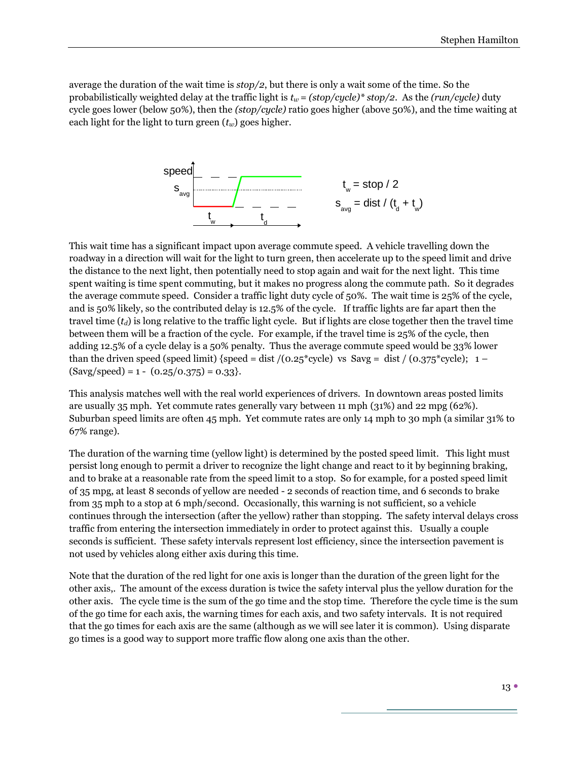average the duration of the wait time is *stop/2*, but there is only a wait some of the time. So the probabilistically weighted delay at the traffic light is  $t_w = (stop/cycle)*stop/2$ . As the  $(run/cycle)$  duty cycle goes lower (below 50%), then the *(stop/cycle)* ratio goes higher (above 50%), and the time waiting at each light for the light to turn green (*tw*) goes higher.



This wait time has a significant impact upon average commute speed. A vehicle travelling down the roadway in a direction will wait for the light to turn green, then accelerate up to the speed limit and drive the distance to the next light, then potentially need to stop again and wait for the next light. This time spent waiting is time spent commuting, but it makes no progress along the commute path. So it degrades the average commute speed. Consider a traffic light duty cycle of 50%. The wait time is 25% of the cycle, and is 50% likely, so the contributed delay is 12.5% of the cycle. If traffic lights are far apart then the travel time  $(t_d)$  is long relative to the traffic light cycle. But if lights are close together then the travel time between them will be a fraction of the cycle. For example, if the travel time is 25% of the cycle, then adding 12.5% of a cycle delay is a 50% penalty. Thus the average commute speed would be 33% lower than the driven speed (speed limit) {speed = dist /( $0.25$ \*cycle) vs Savg = dist /( $0.375$ \*cycle); 1 –  $(Savg/speed) = 1 - (0.25/0.375) = 0.33$ .

This analysis matches well with the real world experiences of drivers. In downtown areas posted limits are usually 35 mph. Yet commute rates generally vary between 11 mph (31%) and 22 mpg (62%). Suburban speed limits are often 45 mph. Yet commute rates are only 14 mph to 30 mph (a similar 31% to 67% range).

The duration of the warning time (yellow light) is determined by the posted speed limit. This light must persist long enough to permit a driver to recognize the light change and react to it by beginning braking, and to brake at a reasonable rate from the speed limit to a stop. So for example, for a posted speed limit of 35 mpg, at least 8 seconds of yellow are needed - 2 seconds of reaction time, and 6 seconds to brake from 35 mph to a stop at 6 mph/second. Occasionally, this warning is not sufficient, so a vehicle continues through the intersection (after the yellow) rather than stopping. The safety interval delays cross traffic from entering the intersection immediately in order to protect against this. Usually a couple seconds is sufficient. These safety intervals represent lost efficiency, since the intersection pavement is not used by vehicles along either axis during this time.

Note that the duration of the red light for one axis is longer than the duration of the green light for the other axis,. The amount of the excess duration is twice the safety interval plus the yellow duration for the other axis. The cycle time is the sum of the go time and the stop time. Therefore the cycle time is the sum of the go time for each axis, the warning times for each axis, and two safety intervals. It is not required that the go times for each axis are the same (although as we will see later it is common). Using disparate go times is a good way to support more traffic flow along one axis than the other.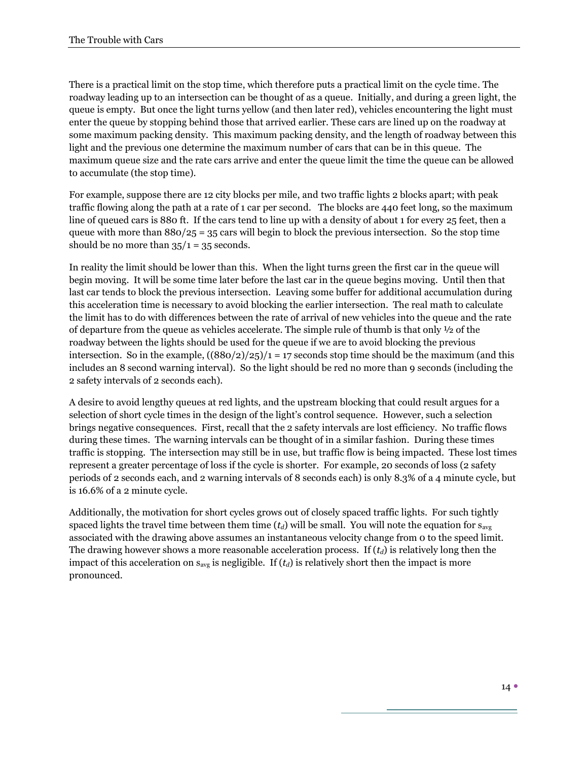There is a practical limit on the stop time, which therefore puts a practical limit on the cycle time. The roadway leading up to an intersection can be thought of as a queue. Initially, and during a green light, the queue is empty. But once the light turns yellow (and then later red), vehicles encountering the light must enter the queue by stopping behind those that arrived earlier. These cars are lined up on the roadway at some maximum packing density. This maximum packing density, and the length of roadway between this light and the previous one determine the maximum number of cars that can be in this queue. The maximum queue size and the rate cars arrive and enter the queue limit the time the queue can be allowed to accumulate (the stop time).

For example, suppose there are 12 city blocks per mile, and two traffic lights 2 blocks apart; with peak traffic flowing along the path at a rate of 1 car per second. The blocks are 440 feet long, so the maximum line of queued cars is 880 ft. If the cars tend to line up with a density of about 1 for every 25 feet, then a queue with more than  $880/25 = 35$  cars will begin to block the previous intersection. So the stop time should be no more than  $35/1 = 35$  seconds.

In reality the limit should be lower than this. When the light turns green the first car in the queue will begin moving. It will be some time later before the last car in the queue begins moving. Until then that last car tends to block the previous intersection. Leaving some buffer for additional accumulation during this acceleration time is necessary to avoid blocking the earlier intersection. The real math to calculate the limit has to do with differences between the rate of arrival of new vehicles into the queue and the rate of departure from the queue as vehicles accelerate. The simple rule of thumb is that only ½ of the roadway between the lights should be used for the queue if we are to avoid blocking the previous intersection. So in the example,  $((880/2)/25)/1 = 17$  seconds stop time should be the maximum (and this includes an 8 second warning interval). So the light should be red no more than 9 seconds (including the 2 safety intervals of 2 seconds each).

A desire to avoid lengthy queues at red lights, and the upstream blocking that could result argues for a selection of short cycle times in the design of the light's control sequence. However, such a selection brings negative consequences. First, recall that the 2 safety intervals are lost efficiency. No traffic flows during these times. The warning intervals can be thought of in a similar fashion. During these times traffic is stopping. The intersection may still be in use, but traffic flow is being impacted. These lost times represent a greater percentage of loss if the cycle is shorter. For example, 20 seconds of loss (2 safety periods of 2 seconds each, and 2 warning intervals of 8 seconds each) is only 8.3% of a 4 minute cycle, but is 16.6% of a 2 minute cycle.

Additionally, the motivation for short cycles grows out of closely spaced traffic lights. For such tightly spaced lights the travel time between them time  $(t_d)$  will be small. You will note the equation for  $s_{ave}$ associated with the drawing above assumes an instantaneous velocity change from 0 to the speed limit. The drawing however shows a more reasonable acceleration process. If (*td*) is relatively long then the impact of this acceleration on  $s_{avg}$  is negligible. If  $(t_d)$  is relatively short then the impact is more pronounced.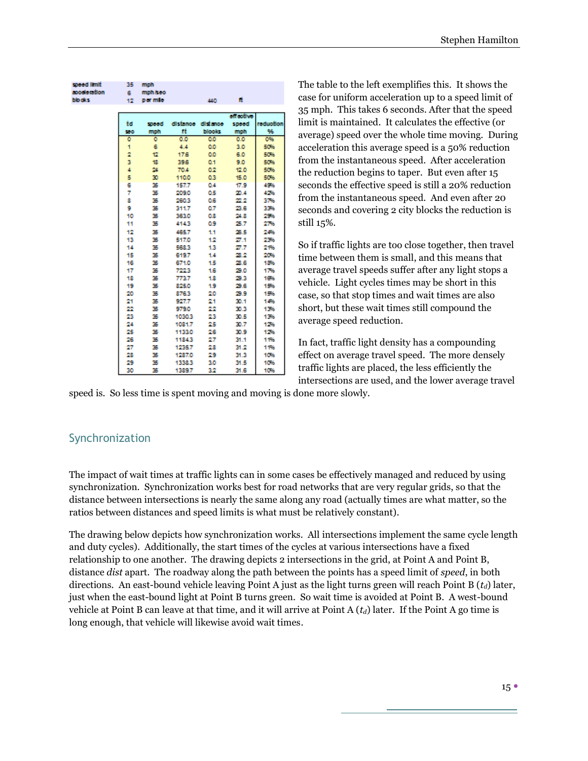| speed limit | 35  | mph      |        |                   |           |           |
|-------------|-----|----------|--------|-------------------|-----------|-----------|
| apoderation | 6.  | mph /seo |        |                   |           |           |
| blocks      | 12  | per mile |        | 440               | Ħ.        |           |
|             |     |          |        |                   |           |           |
|             |     |          |        |                   | etreothye |           |
|             | td  | speed    |        | distance distance | speed     | reduction |
|             | 550 | mph      | ۴ŧ     | <b>blooks</b>     | mph       | 96        |
|             | ٥   | ٥        | 0.0    | <b>QO</b>         | 0.0       | 0%        |
|             | 1   | 6        | 4.4    | <b>O.O</b>        | 3.0       | 50%       |
|             | 2   | t2       | 17.6   | <b>O.O</b>        | 6.0       | 50%       |
|             | 3   | 18       | 39.6   | 0.1               | 9.0       | 50%       |
|             | 4   | 24       | 70.4   | 0.2               | 12.0      | 50%       |
|             | 5   | 30       | 110.0  | 03                | 15.0      | 50%       |
|             | 6   | 35       | 157.7  | 0.4               | 17.9      | 45%       |
|             | 7   | 35       | 209.0  | û5                | 20.4      | 42%       |
|             | 8   | 35       | 2603   | 0.6               | 22.2      | 376       |
|             | 9   | 35       | 311.7  | 0.7               | 23.6      | 33%       |
|             | 10  | 35       | 363.0  | ū8                | 24.8      | 256       |
|             | 11  | 35       | 4143   | 09                | 25.7      | 276       |
|             | 12  | 35       | 465.7  | 11                | 26.5      | 246       |
|             | 13  | 35       | 517.0  | 12                | 27.1      | 236       |
|             | 14  | 35       | 568.3  | 13                | 27.7      | 21%       |
|             | 15  | 35       | 619.7  | 14                | 28.2      | 206       |
|             | 16  | 35       | 671.0  | 15                | 28.6      | 18%       |
|             | 17  | 35       | 7223   | 16                | 29.0      | 17%       |
|             | 18  | 35       | 773.7  | 18                | 29.3      | 10%       |
|             | 19  | 35       | 825.0  | 19                | 29.6      | 19%       |
|             | 20  | 35       | 8763   | 20                | 29.9      | 15%       |
|             | 21  | 35       | 927.7  | 21                | 30.1      | 14%       |
|             | 22  | 35       | 979.0  | 22                | 30.3      | 136       |
|             | 23  | 35       | 1030.3 | 23                | 30.5      | 13%       |
|             | 24  | 35       | 1081.7 | 25                | 30.7      | 126       |
|             | 25  | 35       | 1133.0 | 26                | 30.9      | 126       |
|             | 26  | 35       | 11843  | 27                | 31.1      | 11%       |
|             | 27  | 35       | 1235.7 | 28                | 31.2      | 11%       |
|             | 28  | 35       | 1287.0 | 29                | 31.3      | 10%       |
|             | 29  | 35       |        |                   |           |           |
|             |     |          | 1338.3 | 30                | 31.5      | 10%       |
|             | 30  | 35       | 1389.7 | 32                | 31.6      | 10%       |

The table to the left exemplifies this. It shows the case for uniform acceleration up to a speed limit of 35 mph. This takes 6 seconds. After that the speed limit is maintained. It calculates the effective (or average) speed over the whole time moving. During acceleration this average speed is a 50% reduction from the instantaneous speed. After acceleration the reduction begins to taper. But even after 15 seconds the effective speed is still a 20% reduction from the instantaneous speed. And even after 20 seconds and covering 2 city blocks the reduction is still 15%.

So if traffic lights are too close together, then travel time between them is small, and this means that average travel speeds suffer after any light stops a vehicle. Light cycles times may be short in this case, so that stop times and wait times are also short, but these wait times still compound the average speed reduction.

In fact, traffic light density has a compounding effect on average travel speed. The more densely traffic lights are placed, the less efficiently the intersections are used, and the lower average travel

speed is. So less time is spent moving and moving is done more slowly.

#### Synchronization

The impact of wait times at traffic lights can in some cases be effectively managed and reduced by using synchronization. Synchronization works best for road networks that are very regular grids, so that the distance between intersections is nearly the same along any road (actually times are what matter, so the ratios between distances and speed limits is what must be relatively constant).

The drawing below depicts how synchronization works. All intersections implement the same cycle length and duty cycles). Additionally, the start times of the cycles at various intersections have a fixed relationship to one another. The drawing depicts 2 intersections in the grid, at Point A and Point B, distance *dist* apart. The roadway along the path between the points has a speed limit of *speed*, in both directions. An east-bound vehicle leaving Point A just as the light turns green will reach Point B (*td*) later, just when the east-bound light at Point B turns green. So wait time is avoided at Point B. A west-bound vehicle at Point B can leave at that time, and it will arrive at Point A (*td*) later. If the Point A go time is long enough, that vehicle will likewise avoid wait times.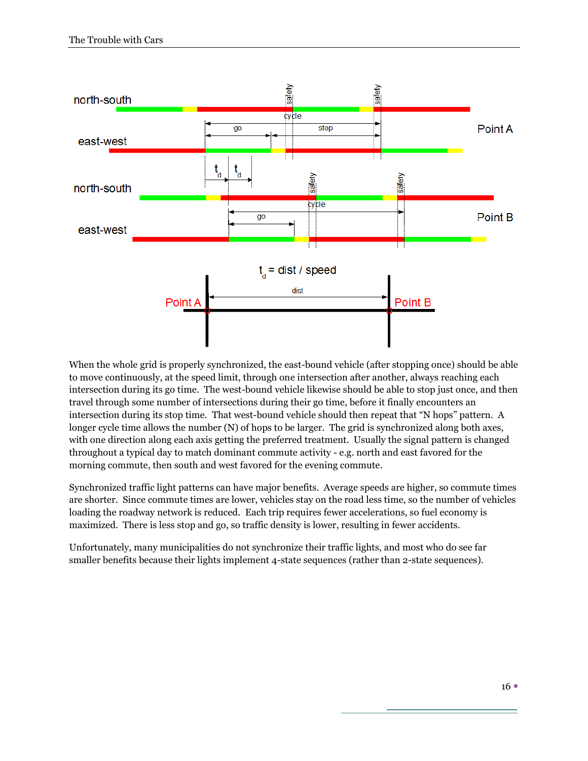

When the whole grid is properly synchronized, the east-bound vehicle (after stopping once) should be able to move continuously, at the speed limit, through one intersection after another, always reaching each intersection during its go time. The west-bound vehicle likewise should be able to stop just once, and then travel through some number of intersections during their go time, before it finally encounters an intersection during its stop time. That west-bound vehicle should then repeat that "N hops" pattern. A longer cycle time allows the number (N) of hops to be larger. The grid is synchronized along both axes, with one direction along each axis getting the preferred treatment. Usually the signal pattern is changed throughout a typical day to match dominant commute activity - e.g. north and east favored for the morning commute, then south and west favored for the evening commute.

Synchronized traffic light patterns can have major benefits. Average speeds are higher, so commute times are shorter. Since commute times are lower, vehicles stay on the road less time, so the number of vehicles loading the roadway network is reduced. Each trip requires fewer accelerations, so fuel economy is maximized. There is less stop and go, so traffic density is lower, resulting in fewer accidents.

Unfortunately, many municipalities do not synchronize their traffic lights, and most who do see far smaller benefits because their lights implement 4-state sequences (rather than 2-state sequences).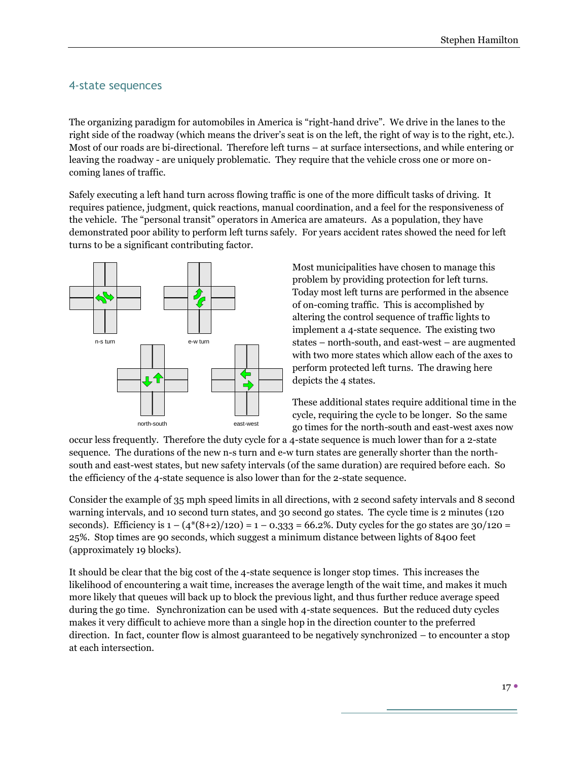#### 4-state sequences

The organizing paradigm for automobiles in America is "right-hand drive". We drive in the lanes to the right side of the roadway (which means the driver's seat is on the left, the right of way is to the right, etc.). Most of our roads are bi-directional. Therefore left turns – at surface intersections, and while entering or leaving the roadway - are uniquely problematic. They require that the vehicle cross one or more oncoming lanes of traffic.

Safely executing a left hand turn across flowing traffic is one of the more difficult tasks of driving. It requires patience, judgment, quick reactions, manual coordination, and a feel for the responsiveness of the vehicle. The "personal transit" operators in America are amateurs. As a population, they have demonstrated poor ability to perform left turns safely. For years accident rates showed the need for left turns to be a significant contributing factor.



Most municipalities have chosen to manage this problem by providing protection for left turns. Today most left turns are performed in the absence of on-coming traffic. This is accomplished by altering the control sequence of traffic lights to implement a 4-state sequence. The existing two states – north-south, and east-west – are augmented with two more states which allow each of the axes to perform protected left turns. The drawing here depicts the 4 states.

These additional states require additional time in the cycle, requiring the cycle to be longer. So the same go times for the north-south and east-west axes now

occur less frequently. Therefore the duty cycle for a 4-state sequence is much lower than for a 2-state sequence. The durations of the new n-s turn and e-w turn states are generally shorter than the northsouth and east-west states, but new safety intervals (of the same duration) are required before each. So the efficiency of the 4-state sequence is also lower than for the 2-state sequence.

Consider the example of 35 mph speed limits in all directions, with 2 second safety intervals and 8 second warning intervals, and 10 second turn states, and 30 second go states. The cycle time is 2 minutes (120 seconds). Efficiency is  $1 - (4*(8+2)/120) = 1 - 0.333 = 66.2\%$ . Duty cycles for the go states are 30/120 = 25%. Stop times are 90 seconds, which suggest a minimum distance between lights of 8400 feet (approximately 19 blocks).

It should be clear that the big cost of the 4-state sequence is longer stop times. This increases the likelihood of encountering a wait time, increases the average length of the wait time, and makes it much more likely that queues will back up to block the previous light, and thus further reduce average speed during the go time. Synchronization can be used with 4-state sequences. But the reduced duty cycles makes it very difficult to achieve more than a single hop in the direction counter to the preferred direction. In fact, counter flow is almost guaranteed to be negatively synchronized – to encounter a stop at each intersection.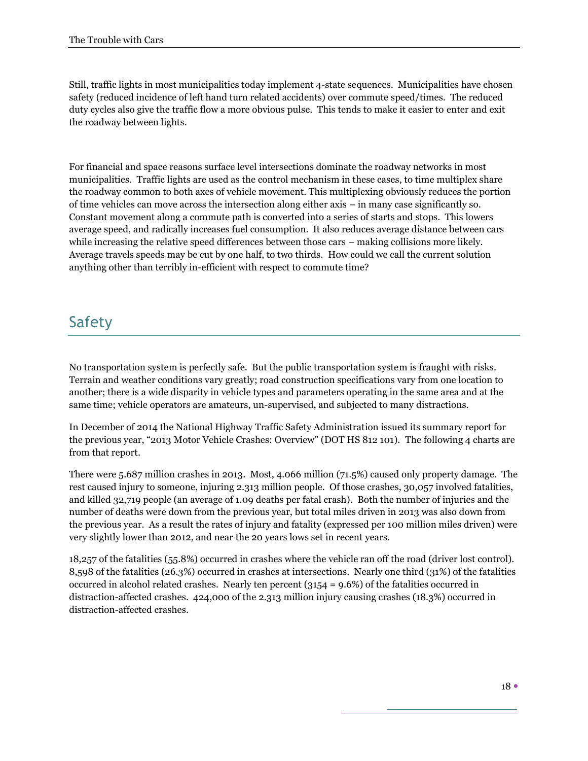Still, traffic lights in most municipalities today implement 4-state sequences. Municipalities have chosen safety (reduced incidence of left hand turn related accidents) over commute speed/times. The reduced duty cycles also give the traffic flow a more obvious pulse. This tends to make it easier to enter and exit the roadway between lights.

For financial and space reasons surface level intersections dominate the roadway networks in most municipalities. Traffic lights are used as the control mechanism in these cases, to time multiplex share the roadway common to both axes of vehicle movement. This multiplexing obviously reduces the portion of time vehicles can move across the intersection along either axis – in many case significantly so. Constant movement along a commute path is converted into a series of starts and stops. This lowers average speed, and radically increases fuel consumption. It also reduces average distance between cars while increasing the relative speed differences between those cars – making collisions more likely. Average travels speeds may be cut by one half, to two thirds. How could we call the current solution anything other than terribly in-efficient with respect to commute time?

## **Safety**

No transportation system is perfectly safe. But the public transportation system is fraught with risks. Terrain and weather conditions vary greatly; road construction specifications vary from one location to another; there is a wide disparity in vehicle types and parameters operating in the same area and at the same time; vehicle operators are amateurs, un-supervised, and subjected to many distractions.

In December of 2014 the National Highway Traffic Safety Administration issued its summary report for the previous year, "2013 Motor Vehicle Crashes: Overview" (DOT HS 812 101). The following 4 charts are from that report.

There were 5.687 million crashes in 2013. Most, 4.066 million (71.5%) caused only property damage. The rest caused injury to someone, injuring 2.313 million people. Of those crashes, 30,057 involved fatalities, and killed 32,719 people (an average of 1.09 deaths per fatal crash). Both the number of injuries and the number of deaths were down from the previous year, but total miles driven in 2013 was also down from the previous year. As a result the rates of injury and fatality (expressed per 100 million miles driven) were very slightly lower than 2012, and near the 20 years lows set in recent years.

18,257 of the fatalities (55.8%) occurred in crashes where the vehicle ran off the road (driver lost control). 8,598 of the fatalities (26.3%) occurred in crashes at intersections. Nearly one third (31%) of the fatalities occurred in alcohol related crashes. Nearly ten percent  $(3154 = 9.6\%)$  of the fatalities occurred in distraction-affected crashes. 424,000 of the 2.313 million injury causing crashes (18.3%) occurred in distraction-affected crashes.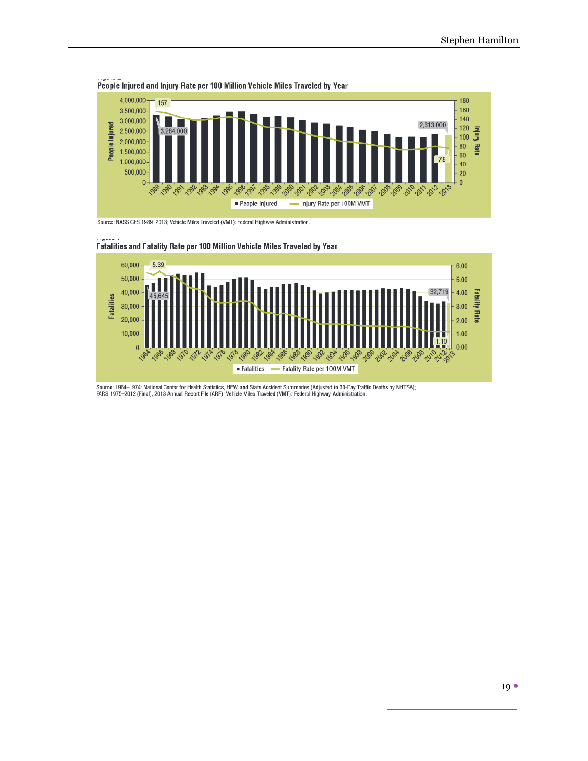

People Injured and Injury Rate per 100 Million Vehicle Miles Traveled by Year

Source: NASS GES 1989-2013; Vehicle Miles Traveled (VMT): Federal Highway Administration.



#### Fatalities and Fatality Rate per 100 Million Vehicle Miles Traveled by Year

Source: 1964–1974: National Center for Health Statistics, HEW, and State Accident Summaries (Adjusted to 30-Day Traffic Deaths by NHTSA);<br>FARS 1975–2012 (Final), 2013 Annual Report File (ARF); Vehicle Miles Traveled (VMT):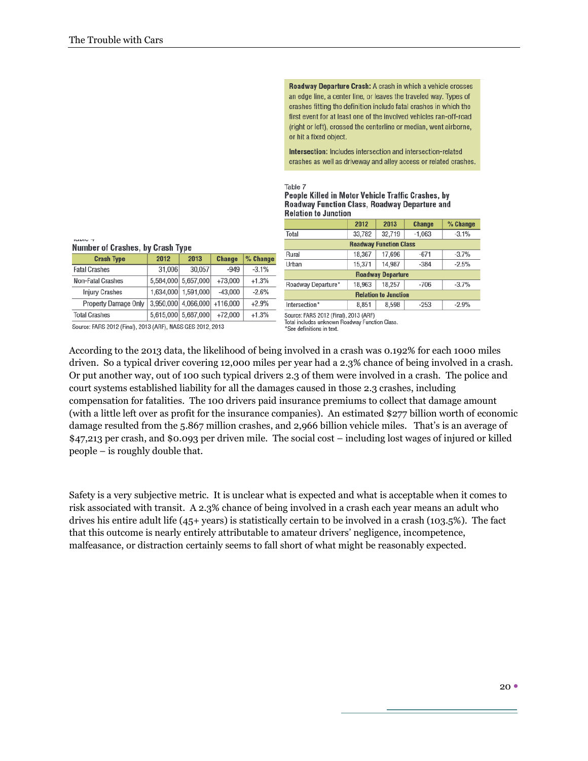Roadway Departure Crash: A crash in which a vehicle crosses an edge line, a center line, or leaves the traveled way. Types of crashes fitting the definition include fatal crashes in which the first event for at least one of the involved vehicles ran-off-road (right or left), crossed the centerline or median, went airborne, or hit a fixed object.

Intersection: Includes intersection and intersection-related crashes as well as driveway and alley access or related crashes.

#### Table 7

#### People Killed in Motor Vehicle Traffic Crashes, by Roadway Function Class, Roadway Departure and **Relation to Junction**

|                               | 2012   | 2013   | <b>Change</b> | % Change |  |  |  |  |
|-------------------------------|--------|--------|---------------|----------|--|--|--|--|
| Total                         | 33,782 | 32.719 | $-1.063$      | $-3.1%$  |  |  |  |  |
| <b>Roadway Function Class</b> |        |        |               |          |  |  |  |  |
| Rural                         | 18,367 | 17,696 | $-671$        | $-3.7%$  |  |  |  |  |
| Urban                         | 15,371 | 14,987 | $-384$        | $-2.5%$  |  |  |  |  |
| <b>Roadway Departure</b>      |        |        |               |          |  |  |  |  |
| Roadway Departure*            | 18,963 | 18,257 | $-706$        | $-3.7%$  |  |  |  |  |
| <b>Relation to Junction</b>   |        |        |               |          |  |  |  |  |
| Intersection*                 | 8.851  | 8.598  | $-253$        | $-2.9%$  |  |  |  |  |
|                               |        |        |               |          |  |  |  |  |

Source: FARS 2012 (Final), 2013 (ARF) Total includes unknown Roadway Function Class.

Number of Crashes, by Crash Type

| <b>Crash Type</b>                                          | 2012   | 2013                | <b>Change</b> | % Change |  |  |  |
|------------------------------------------------------------|--------|---------------------|---------------|----------|--|--|--|
| <b>Fatal Crashes</b>                                       | 31,006 | 30,057              | $-949$        | $-3.1%$  |  |  |  |
| Non-Fatal Crashes                                          |        | 5,584,000 5,657,000 | $+73,000$     | $+1.3%$  |  |  |  |
| <b>Injury Crashes</b>                                      |        | 1,634,000 1,591,000 | $-43,000$     | $-2.6%$  |  |  |  |
| <b>Property Damage Only</b>                                |        | 3,950,000 4,066,000 | $+116,000$    | $+2.9%$  |  |  |  |
| <b>Total Crashes</b>                                       |        | 5,615,000 5,687,000 | $+72,000$     | $+1.3%$  |  |  |  |
| Source: FARS 2012 (Final), 2013 (ARF), NASS GES 2012, 2013 |        |                     |               |          |  |  |  |

According to the 2013 data, the likelihood of being involved in a crash was 0.192% for each 1000 miles driven. So a typical driver covering 12,000 miles per year had a 2.3% chance of being involved in a crash. Or put another way, out of 100 such typical drivers 2.3 of them were involved in a crash. The police and court systems established liability for all the damages caused in those 2.3 crashes, including compensation for fatalities. The 100 drivers paid insurance premiums to collect that damage amount (with a little left over as profit for the insurance companies). An estimated \$277 billion worth of economic damage resulted from the 5.867 million crashes, and 2,966 billion vehicle miles. That's is an average of \$47,213 per crash, and \$0.093 per driven mile. The social cost – including lost wages of injured or killed people – is roughly double that.

Safety is a very subjective metric. It is unclear what is expected and what is acceptable when it comes to risk associated with transit. A 2.3% chance of being involved in a crash each year means an adult who drives his entire adult life (45+ years) is statistically certain t0 be involved in a crash (103.5%). The fact that this outcome is nearly entirely attributable to amateur drivers' negligence, incompetence, malfeasance, or distraction certainly seems to fall short of what might be reasonably expected.

<sup>&#</sup>x27;See definitions in text.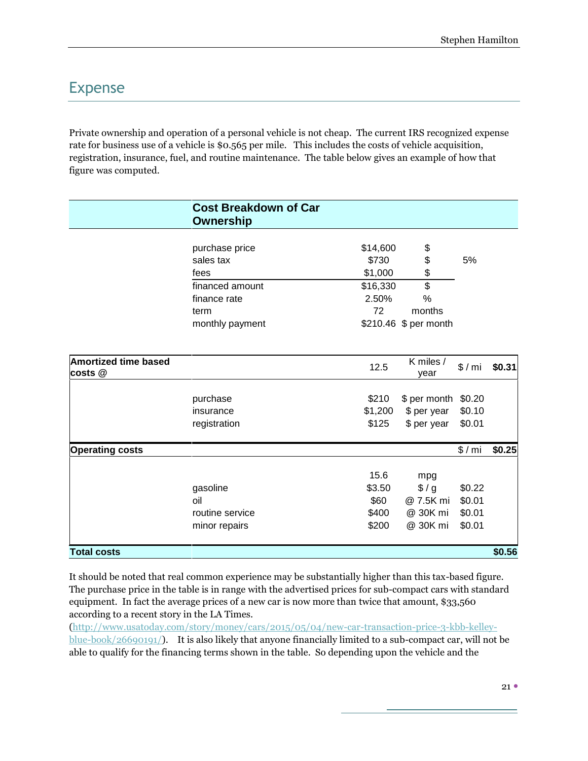## Expense

Private ownership and operation of a personal vehicle is not cheap. The current IRS recognized expense rate for business use of a vehicle is \$0.565 per mile. This includes the costs of vehicle acquisition, registration, insurance, fuel, and routine maintenance. The table below gives an example of how that figure was computed.

|                             | <b>Cost Breakdown of Car</b><br><b>Ownership</b> |          |                       |        |        |
|-----------------------------|--------------------------------------------------|----------|-----------------------|--------|--------|
|                             |                                                  |          |                       |        |        |
|                             | purchase price                                   | \$14,600 | \$                    |        |        |
|                             | sales tax                                        | \$730    | \$                    | 5%     |        |
|                             | fees                                             | \$1,000  | \$                    |        |        |
|                             | financed amount                                  | \$16,330 | $\overline{\$}$       |        |        |
|                             | finance rate                                     | 2.50%    | %                     |        |        |
|                             | term                                             | 72       | months                |        |        |
|                             | monthly payment                                  |          | \$210.46 \$ per month |        |        |
| <b>Amortized time based</b> |                                                  | 12.5     | K miles /             | \$/mi  | \$0.31 |
| costs @                     |                                                  | vear     |                       |        |        |
|                             | purchase                                         | \$210    | \$ per month \$0.20   |        |        |
|                             | insurance                                        | \$1,200  | \$ per year           | \$0.10 |        |
|                             | registration                                     | \$125    | \$ per year           | \$0.01 |        |
| <b>Operating costs</b>      |                                                  |          |                       | \$/mi  | \$0.25 |
|                             |                                                  | 15.6     | mpg                   |        |        |
|                             | gasoline                                         | \$3.50   | \$/g                  | \$0.22 |        |
|                             | oil                                              | \$60     | @ 7.5K mi             | \$0.01 |        |
|                             | routine service                                  | \$400    | @ 30K mi              | \$0.01 |        |
|                             | minor repairs                                    | \$200    | @ 30K mi              | \$0.01 |        |
| <b>Total costs</b>          |                                                  |          |                       |        | \$0.56 |

It should be noted that real common experience may be substantially higher than this tax-based figure. The purchase price in the table is in range with the advertised prices for sub-compact cars with standard equipment. In fact the average prices of a new car is now more than twice that amount, \$33,560 according to a recent story in the LA Times.

[\(http://www.usatoday.com/story/money/cars/2015/05/04/new-car-transaction-price-3-kbb-kelley](http://www.usatoday.com/story/money/cars/2015/05/04/new-car-transaction-price-3-kbb-kelley-blue-book/26690191/)[blue-book/26690191/\)](http://www.usatoday.com/story/money/cars/2015/05/04/new-car-transaction-price-3-kbb-kelley-blue-book/26690191/). It is also likely that anyone financially limited to a sub-compact car, will not be able to qualify for the financing terms shown in the table. So depending upon the vehicle and the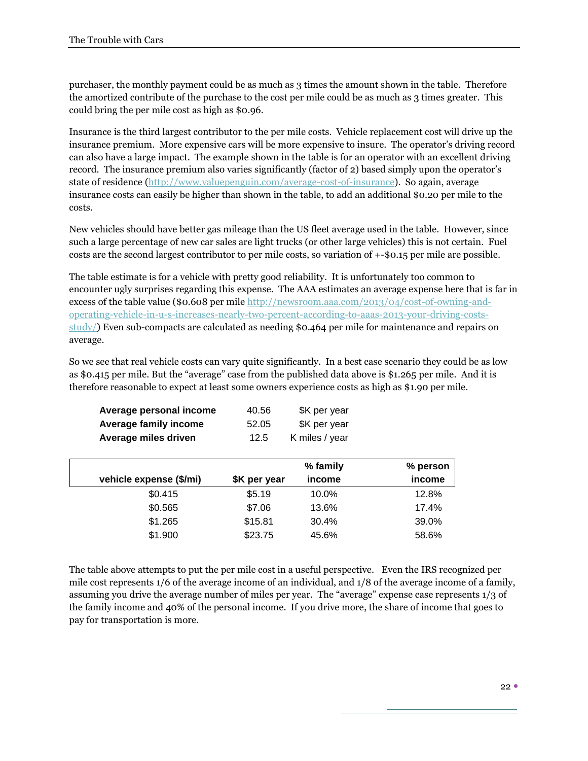purchaser, the monthly payment could be as much as 3 times the amount shown in the table. Therefore the amortized contribute of the purchase to the cost per mile could be as much as 3 times greater. This could bring the per mile cost as high as \$0.96.

Insurance is the third largest contributor to the per mile costs. Vehicle replacement cost will drive up the insurance premium. More expensive cars will be more expensive to insure. The operator's driving record can also have a large impact. The example shown in the table is for an operator with an excellent driving record. The insurance premium also varies significantly (factor of 2) based simply upon the operator's state of residence [\(http://www.valuepenguin.com/average-cost-of-insurance\)](http://www.valuepenguin.com/average-cost-of-insurance). So again, average insurance costs can easily be higher than shown in the table, to add an additional \$0.20 per mile to the costs.

New vehicles should have better gas mileage than the US fleet average used in the table. However, since such a large percentage of new car sales are light trucks (or other large vehicles) this is not certain. Fuel costs are the second largest contributor to per mile costs, so variation of +-\$0.15 per mile are possible.

The table estimate is for a vehicle with pretty good reliability. It is unfortunately too common to encounter ugly surprises regarding this expense. The AAA estimates an average expense here that is far in excess of the table value (\$0.608 per mil[e http://newsroom.aaa.com/2013/04/cost-of-owning-and](http://newsroom.aaa.com/2013/04/cost-of-owning-and-operating-vehicle-in-u-s-increases-nearly-two-percent-according-to-aaas-2013-your-driving-costs-study/)[operating-vehicle-in-u-s-increases-nearly-two-percent-according-to-aaas-2013-your-driving-costs](http://newsroom.aaa.com/2013/04/cost-of-owning-and-operating-vehicle-in-u-s-increases-nearly-two-percent-according-to-aaas-2013-your-driving-costs-study/)[study/\)](http://newsroom.aaa.com/2013/04/cost-of-owning-and-operating-vehicle-in-u-s-increases-nearly-two-percent-according-to-aaas-2013-your-driving-costs-study/) Even sub-compacts are calculated as needing \$0.464 per mile for maintenance and repairs on average.

So we see that real vehicle costs can vary quite significantly. In a best case scenario they could be as low as \$0.415 per mile. But the "average" case from the published data above is \$1.265 per mile. And it is therefore reasonable to expect at least some owners experience costs as high as \$1.90 per mile.

| Average personal income | 40.56 | \$K per year   |  |
|-------------------------|-------|----------------|--|
| Average family income   | 52.05 | \$K per year   |  |
| Average miles driven    | 12.5  | K miles / year |  |

|                         |              | % family | % person |
|-------------------------|--------------|----------|----------|
| vehicle expense (\$/mi) | \$K per year | income   | income   |
| \$0.415                 | \$5.19       | 10.0%    | 12.8%    |
| \$0.565                 | \$7.06       | 13.6%    | 17.4%    |
| \$1.265                 | \$15.81      | 30.4%    | 39.0%    |
| \$1.900                 | \$23.75      | 45.6%    | 58.6%    |

The table above attempts to put the per mile cost in a useful perspective. Even the IRS recognized per mile cost represents 1/6 of the average income of an individual, and 1/8 of the average income of a family, assuming you drive the average number of miles per year. The "average" expense case represents 1/3 of the family income and 40% of the personal income. If you drive more, the share of income that goes to pay for transportation is more.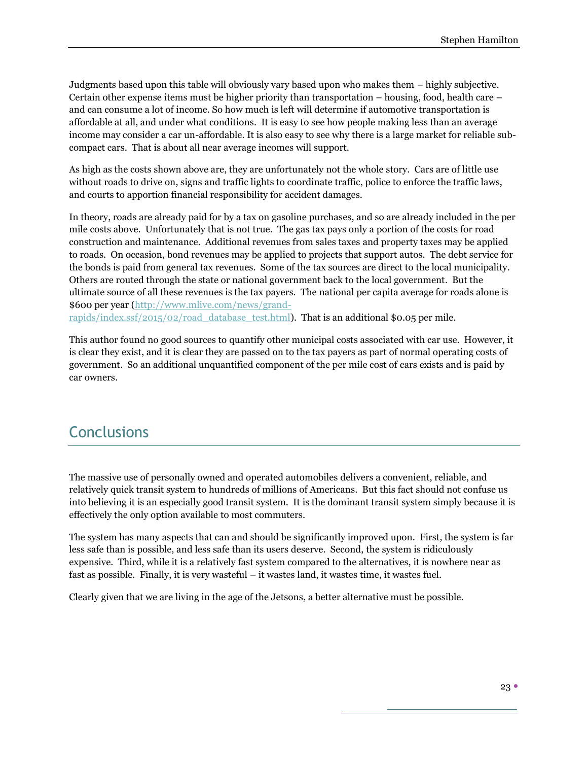Judgments based upon this table will obviously vary based upon who makes them – highly subjective. Certain other expense items must be higher priority than transportation – housing, food, health care – and can consume a lot of income. So how much is left will determine if automotive transportation is affordable at all, and under what conditions. It is easy to see how people making less than an average income may consider a car un-affordable. It is also easy to see why there is a large market for reliable subcompact cars. That is about all near average incomes will support.

As high as the costs shown above are, they are unfortunately not the whole story. Cars are of little use without roads to drive on, signs and traffic lights to coordinate traffic, police to enforce the traffic laws, and courts to apportion financial responsibility for accident damages.

In theory, roads are already paid for by a tax on gasoline purchases, and so are already included in the per mile costs above. Unfortunately that is not true. The gas tax pays only a portion of the costs for road construction and maintenance. Additional revenues from sales taxes and property taxes may be applied to roads. On occasion, bond revenues may be applied to projects that support autos. The debt service for the bonds is paid from general tax revenues. Some of the tax sources are direct to the local municipality. Others are routed through the state or national government back to the local government. But the ultimate source of all these revenues is the tax payers. The national per capita average for roads alone is \$600 per year [\(http://www.mlive.com/news/grand](http://www.mlive.com/news/grand-rapids/index.ssf/2015/02/road_database_test.html)[rapids/index.ssf/2015/02/road\\_database\\_test.html\)](http://www.mlive.com/news/grand-rapids/index.ssf/2015/02/road_database_test.html). That is an additional \$0.05 per mile.

This author found no good sources to quantify other municipal costs associated with car use. However, it is clear they exist, and it is clear they are passed on to the tax payers as part of normal operating costs of government. So an additional unquantified component of the per mile cost of cars exists and is paid by car owners.

#### **Conclusions**

The massive use of personally owned and operated automobiles delivers a convenient, reliable, and relatively quick transit system to hundreds of millions of Americans. But this fact should not confuse us into believing it is an especially good transit system. It is the dominant transit system simply because it is effectively the only option available to most commuters.

The system has many aspects that can and should be significantly improved upon. First, the system is far less safe than is possible, and less safe than its users deserve. Second, the system is ridiculously expensive. Third, while it is a relatively fast system compared to the alternatives, it is nowhere near as fast as possible. Finally, it is very wasteful – it wastes land, it wastes time, it wastes fuel.

Clearly given that we are living in the age of the Jetsons, a better alternative must be possible.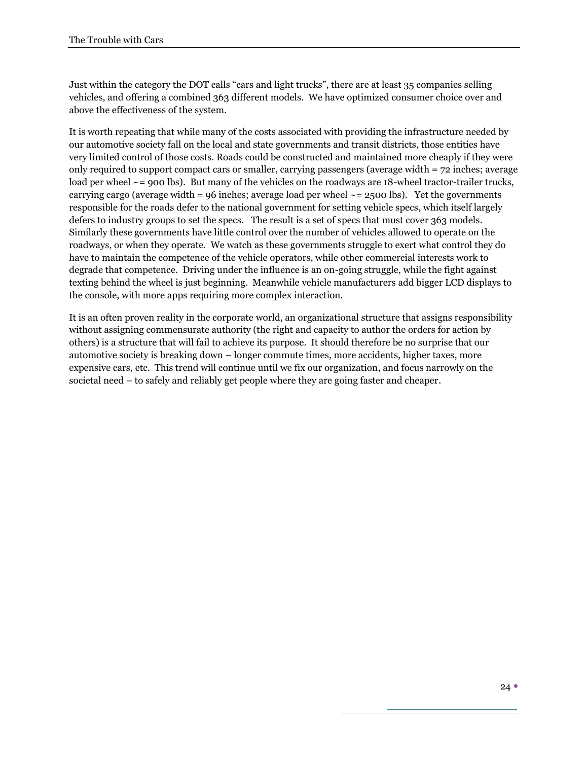Just within the category the DOT calls "cars and light trucks", there are at least 35 companies selling vehicles, and offering a combined 363 different models. We have optimized consumer choice over and above the effectiveness of the system.

It is worth repeating that while many of the costs associated with providing the infrastructure needed by our automotive society fall on the local and state governments and transit districts, those entities have very limited control of those costs. Roads could be constructed and maintained more cheaply if they were only required to support compact cars or smaller, carrying passengers (average width = 72 inches; average load per wheel  $\sim$  = 900 lbs). But many of the vehicles on the roadways are 18-wheel tractor-trailer trucks, carrying cargo (average width = 96 inches; average load per wheel  $\sim$  = 2500 lbs). Yet the governments responsible for the roads defer to the national government for setting vehicle specs, which itself largely defers to industry groups to set the specs. The result is a set of specs that must cover 363 models. Similarly these governments have little control over the number of vehicles allowed to operate on the roadways, or when they operate. We watch as these governments struggle to exert what control they do have to maintain the competence of the vehicle operators, while other commercial interests work to degrade that competence. Driving under the influence is an on-going struggle, while the fight against texting behind the wheel is just beginning. Meanwhile vehicle manufacturers add bigger LCD displays to the console, with more apps requiring more complex interaction.

It is an often proven reality in the corporate world, an organizational structure that assigns responsibility without assigning commensurate authority (the right and capacity to author the orders for action by others) is a structure that will fail to achieve its purpose. It should therefore be no surprise that our automotive society is breaking down – longer commute times, more accidents, higher taxes, more expensive cars, etc. This trend will continue until we fix our organization, and focus narrowly on the societal need – to safely and reliably get people where they are going faster and cheaper.